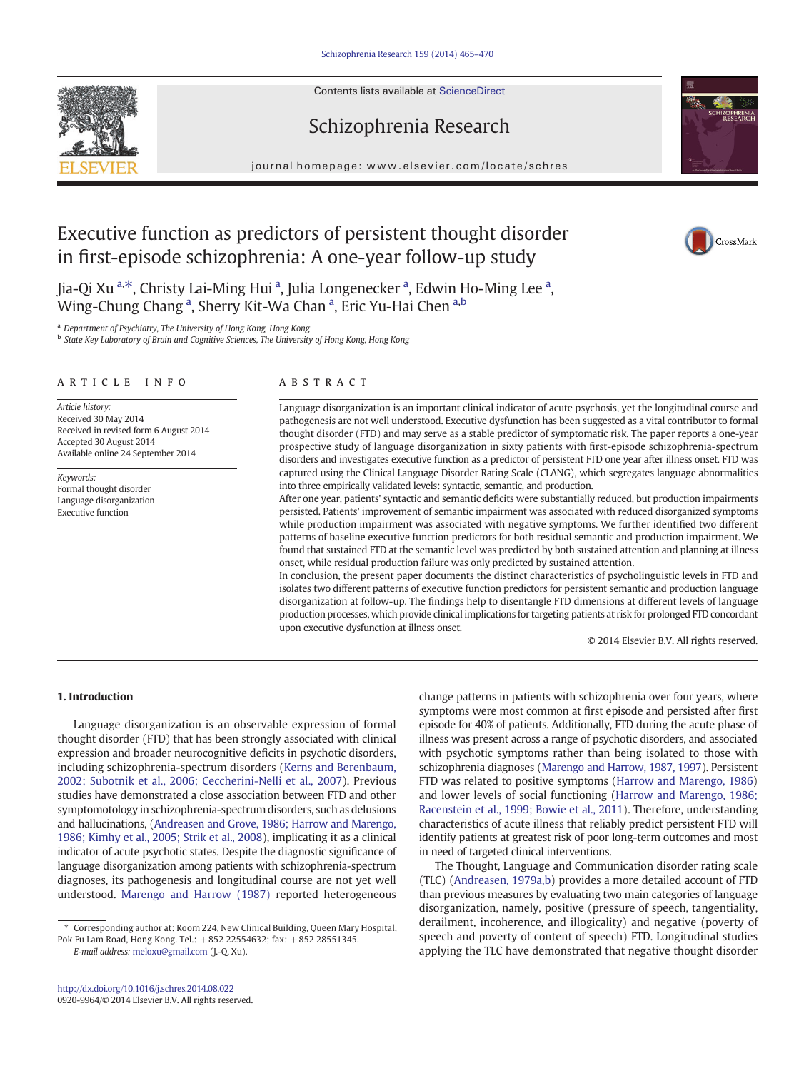Contents lists available at ScienceDirect





journal homepage: www.elsevier.com/locate/schres



CrossMark

## Executive function as predictors of persistent thought disorder in first-episode schizophrenia: A one-year follow-up study

Jia-Qi Xu <sup>a,\*</sup>, Christy Lai-Ming Hui <sup>a</sup>, Julia Longenecker <sup>a</sup>, Edwin Ho-Ming Lee <sup>a</sup>, Wing-Chung Chang <sup>a</sup>, Sherry Kit-Wa Chan <sup>a</sup>, Eric Yu-Hai Chen <sup>a,b</sup>

<sup>a</sup> Department of Psychiatry, The University of Hong Kong, Hong Kong

**b** State Key Laboratory of Brain and Cognitive Sciences, The University of Hong Kong, Hong Kong

#### article info abstract

Article history: Received 30 May 2014 Received in revised form 6 August 2014 Accepted 30 August 2014 Available online 24 September 2014

Keywords: Formal thought disorder Language disorganization Executive function

Language disorganization is an important clinical indicator of acute psychosis, yet the longitudinal course and pathogenesis are not well understood. Executive dysfunction has been suggested as a vital contributor to formal thought disorder (FTD) and may serve as a stable predictor of symptomatic risk. The paper reports a one-year prospective study of language disorganization in sixty patients with first-episode schizophrenia-spectrum disorders and investigates executive function as a predictor of persistent FTD one year after illness onset. FTD was captured using the Clinical Language Disorder Rating Scale (CLANG), which segregates language abnormalities into three empirically validated levels: syntactic, semantic, and production.

After one year, patients' syntactic and semantic deficits were substantially reduced, but production impairments persisted. Patients' improvement of semantic impairment was associated with reduced disorganized symptoms while production impairment was associated with negative symptoms. We further identified two different patterns of baseline executive function predictors for both residual semantic and production impairment. We found that sustained FTD at the semantic level was predicted by both sustained attention and planning at illness onset, while residual production failure was only predicted by sustained attention.

In conclusion, the present paper documents the distinct characteristics of psycholinguistic levels in FTD and isolates two different patterns of executive function predictors for persistent semantic and production language disorganization at follow-up. The findings help to disentangle FTD dimensions at different levels of language production processes, which provide clinical implications for targeting patients at risk for prolonged FTD concordant upon executive dysfunction at illness onset.

© 2014 Elsevier B.V. All rights reserved.

### 1. Introduction

Language disorganization is an observable expression of formal thought disorder (FTD) that has been strongly associated with clinical expression and broader neurocognitive deficits in psychotic disorders, including schizophrenia-spectrum disorders ([Kerns and Berenbaum,](#page--1-0) [2002; Subotnik et al., 2006; Ceccherini-Nelli et al., 2007\)](#page--1-0). Previous studies have demonstrated a close association between FTD and other symptomotology in schizophrenia-spectrum disorders, such as delusions and hallucinations, [\(Andreasen and Grove, 1986; Harrow and Marengo,](#page--1-0) [1986; Kimhy et al., 2005; Strik et al., 2008](#page--1-0)), implicating it as a clinical indicator of acute psychotic states. Despite the diagnostic significance of language disorganization among patients with schizophrenia-spectrum diagnoses, its pathogenesis and longitudinal course are not yet well understood. [Marengo and Harrow \(1987\)](#page--1-0) reported heterogeneous

E-mail address: [meloxu@gmail.com](mailto:meloxu@gmail.com) (J.-Q. Xu).

change patterns in patients with schizophrenia over four years, where symptoms were most common at first episode and persisted after first episode for 40% of patients. Additionally, FTD during the acute phase of illness was present across a range of psychotic disorders, and associated with psychotic symptoms rather than being isolated to those with schizophrenia diagnoses [\(Marengo and Harrow, 1987, 1997\)](#page--1-0). Persistent FTD was related to positive symptoms ([Harrow and Marengo, 1986](#page--1-0)) and lower levels of social functioning [\(Harrow and Marengo, 1986;](#page--1-0) [Racenstein et al., 1999; Bowie et al., 2011\)](#page--1-0). Therefore, understanding characteristics of acute illness that reliably predict persistent FTD will identify patients at greatest risk of poor long-term outcomes and most in need of targeted clinical interventions.

The Thought, Language and Communication disorder rating scale (TLC) [\(Andreasen, 1979a,b](#page--1-0)) provides a more detailed account of FTD than previous measures by evaluating two main categories of language disorganization, namely, positive (pressure of speech, tangentiality, derailment, incoherence, and illogicality) and negative (poverty of speech and poverty of content of speech) FTD. Longitudinal studies applying the TLC have demonstrated that negative thought disorder

<sup>⁎</sup> Corresponding author at: Room 224, New Clinical Building, Queen Mary Hospital, Pok Fu Lam Road, Hong Kong. Tel.: +852 22554632; fax: +852 28551345.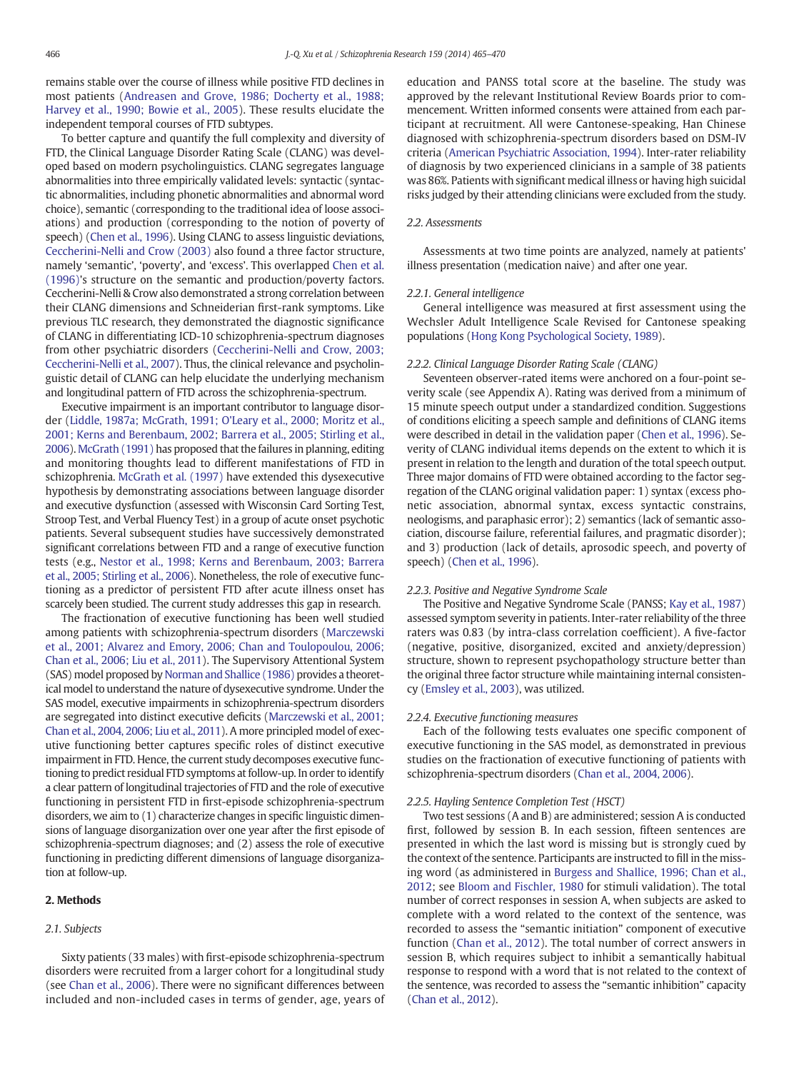remains stable over the course of illness while positive FTD declines in most patients ([Andreasen and Grove, 1986; Docherty et al., 1988;](#page--1-0) [Harvey et al., 1990; Bowie et al., 2005\)](#page--1-0). These results elucidate the independent temporal courses of FTD subtypes.

To better capture and quantify the full complexity and diversity of FTD, the Clinical Language Disorder Rating Scale (CLANG) was developed based on modern psycholinguistics. CLANG segregates language abnormalities into three empirically validated levels: syntactic (syntactic abnormalities, including phonetic abnormalities and abnormal word choice), semantic (corresponding to the traditional idea of loose associations) and production (corresponding to the notion of poverty of speech) [\(Chen et al., 1996](#page--1-0)). Using CLANG to assess linguistic deviations, [Ceccherini-Nelli and Crow \(2003\)](#page--1-0) also found a three factor structure, namely 'semantic', 'poverty', and 'excess'. This overlapped [Chen et al.](#page--1-0) [\(1996\)](#page--1-0)'s structure on the semantic and production/poverty factors. Ceccherini-Nelli & Crow also demonstrated a strong correlation between their CLANG dimensions and Schneiderian first-rank symptoms. Like previous TLC research, they demonstrated the diagnostic significance of CLANG in differentiating ICD-10 schizophrenia-spectrum diagnoses from other psychiatric disorders ([Ceccherini-Nelli and Crow, 2003;](#page--1-0) [Ceccherini-Nelli et al., 2007\)](#page--1-0). Thus, the clinical relevance and psycholinguistic detail of CLANG can help elucidate the underlying mechanism and longitudinal pattern of FTD across the schizophrenia-spectrum.

Executive impairment is an important contributor to language disorder ([Liddle, 1987a; McGrath, 1991; O'Leary et al., 2000; Moritz et al.,](#page--1-0) [2001; Kerns and Berenbaum, 2002; Barrera et al., 2005; Stirling et al.,](#page--1-0) [2006](#page--1-0)). [McGrath \(1991\)](#page--1-0) has proposed that the failures in planning, editing and monitoring thoughts lead to different manifestations of FTD in schizophrenia. [McGrath et al. \(1997\)](#page--1-0) have extended this dysexecutive hypothesis by demonstrating associations between language disorder and executive dysfunction (assessed with Wisconsin Card Sorting Test, Stroop Test, and Verbal Fluency Test) in a group of acute onset psychotic patients. Several subsequent studies have successively demonstrated significant correlations between FTD and a range of executive function tests (e.g., [Nestor et al., 1998; Kerns and Berenbaum, 2003; Barrera](#page--1-0) [et al., 2005; Stirling et al., 2006](#page--1-0)). Nonetheless, the role of executive functioning as a predictor of persistent FTD after acute illness onset has scarcely been studied. The current study addresses this gap in research.

The fractionation of executive functioning has been well studied among patients with schizophrenia-spectrum disorders ([Marczewski](#page--1-0) [et al., 2001; Alvarez and Emory, 2006; Chan and Toulopoulou, 2006;](#page--1-0) [Chan et al., 2006; Liu et al., 2011\)](#page--1-0). The Supervisory Attentional System (SAS) model proposed by [Norman and Shallice \(1986\)](#page--1-0) provides a theoretical model to understand the nature of dysexecutive syndrome. Under the SAS model, executive impairments in schizophrenia-spectrum disorders are segregated into distinct executive deficits [\(Marczewski et al., 2001;](#page--1-0) [Chan et al., 2004, 2006; Liu et al., 2011\)](#page--1-0). A more principled model of executive functioning better captures specific roles of distinct executive impairment in FTD. Hence, the current study decomposes executive functioning to predict residual FTD symptoms at follow-up. In order to identify a clear pattern of longitudinal trajectories of FTD and the role of executive functioning in persistent FTD in first-episode schizophrenia-spectrum disorders, we aim to (1) characterize changes in specific linguistic dimensions of language disorganization over one year after the first episode of schizophrenia-spectrum diagnoses; and (2) assess the role of executive functioning in predicting different dimensions of language disorganization at follow-up.

#### 2. Methods

#### 2.1. Subjects

Sixty patients (33 males) with first-episode schizophrenia-spectrum disorders were recruited from a larger cohort for a longitudinal study (see [Chan et al., 2006\)](#page--1-0). There were no significant differences between included and non-included cases in terms of gender, age, years of education and PANSS total score at the baseline. The study was approved by the relevant Institutional Review Boards prior to commencement. Written informed consents were attained from each participant at recruitment. All were Cantonese-speaking, Han Chinese diagnosed with schizophrenia-spectrum disorders based on DSM-IV criteria ([American Psychiatric Association, 1994\)](#page--1-0). Inter-rater reliability of diagnosis by two experienced clinicians in a sample of 38 patients was 86%. Patients with significant medical illness or having high suicidal risks judged by their attending clinicians were excluded from the study.

#### 2.2. Assessments

Assessments at two time points are analyzed, namely at patients' illness presentation (medication naive) and after one year.

#### 2.2.1. General intelligence

General intelligence was measured at first assessment using the Wechsler Adult Intelligence Scale Revised for Cantonese speaking populations [\(Hong Kong Psychological Society, 1989](#page--1-0)).

#### 2.2.2. Clinical Language Disorder Rating Scale (CLANG)

Seventeen observer-rated items were anchored on a four-point severity scale (see Appendix A). Rating was derived from a minimum of 15 minute speech output under a standardized condition. Suggestions of conditions eliciting a speech sample and definitions of CLANG items were described in detail in the validation paper [\(Chen et al., 1996](#page--1-0)). Severity of CLANG individual items depends on the extent to which it is present in relation to the length and duration of the total speech output. Three major domains of FTD were obtained according to the factor segregation of the CLANG original validation paper: 1) syntax (excess phonetic association, abnormal syntax, excess syntactic constrains, neologisms, and paraphasic error); 2) semantics (lack of semantic association, discourse failure, referential failures, and pragmatic disorder); and 3) production (lack of details, aprosodic speech, and poverty of speech) [\(Chen et al., 1996\)](#page--1-0).

#### 2.2.3. Positive and Negative Syndrome Scale

The Positive and Negative Syndrome Scale (PANSS; [Kay et al., 1987](#page--1-0)) assessed symptom severity in patients. Inter-rater reliability of the three raters was 0.83 (by intra-class correlation coefficient). A five-factor (negative, positive, disorganized, excited and anxiety/depression) structure, shown to represent psychopathology structure better than the original three factor structure while maintaining internal consistency [\(Emsley et al., 2003](#page--1-0)), was utilized.

#### 2.2.4. Executive functioning measures

Each of the following tests evaluates one specific component of executive functioning in the SAS model, as demonstrated in previous studies on the fractionation of executive functioning of patients with schizophrenia-spectrum disorders [\(Chan et al., 2004, 2006\)](#page--1-0).

#### 2.2.5. Hayling Sentence Completion Test (HSCT)

Two test sessions (A and B) are administered; session A is conducted first, followed by session B. In each session, fifteen sentences are presented in which the last word is missing but is strongly cued by the context of the sentence. Participants are instructed to fill in the missing word (as administered in [Burgess and Shallice, 1996; Chan et al.,](#page--1-0) [2012](#page--1-0); see [Bloom and Fischler, 1980](#page--1-0) for stimuli validation). The total number of correct responses in session A, when subjects are asked to complete with a word related to the context of the sentence, was recorded to assess the "semantic initiation" component of executive function ([Chan et al., 2012](#page--1-0)). The total number of correct answers in session B, which requires subject to inhibit a semantically habitual response to respond with a word that is not related to the context of the sentence, was recorded to assess the "semantic inhibition" capacity [\(Chan et al., 2012\)](#page--1-0).